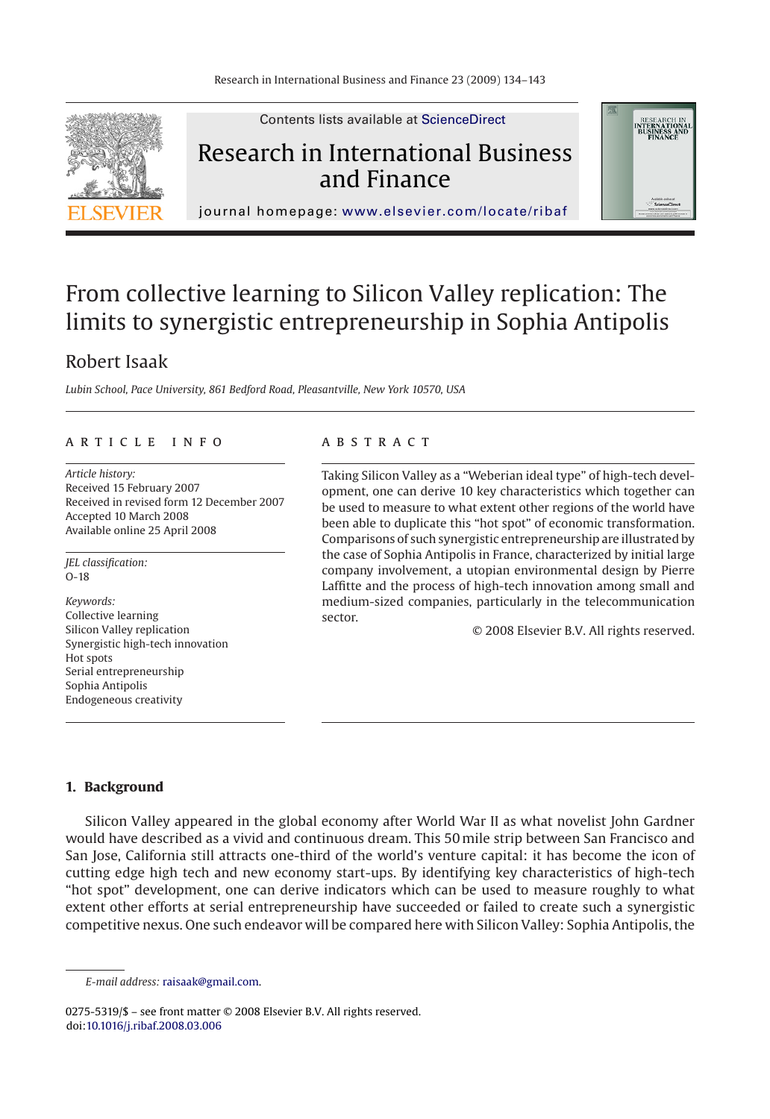

Contents lists available at [ScienceDirect](http://www.sciencedirect.com/science/journal/02755319)

## Research in International Business and Finance



journal homepage: [www.elsevier.com/locate/ribaf](http://www.elsevier.com/locate/ribaf)

## From collective learning to Silicon Valley replication: The limits to synergistic entrepreneurship in Sophia Antipolis

### Robert Isaak

*Lubin School, Pace University, 861 Bedford Road, Pleasantville, New York 10570, USA*

#### article info

*Article history:* Received 15 February 2007 Received in revised form 12 December 2007 Accepted 10 March 2008 Available online 25 April 2008

*JEL classification:* O-18

*Keywords:* Collective learning Silicon Valley replication Synergistic high-tech innovation Hot spots Serial entrepreneurship Sophia Antipolis Endogeneous creativity

#### **ABSTRACT**

Taking Silicon Valley as a "Weberian ideal type" of high-tech development, one can derive 10 key characteristics which together can be used to measure to what extent other regions of the world have been able to duplicate this "hot spot" of economic transformation. Comparisons of such synergistic entrepreneurship are illustrated by the case of Sophia Antipolis in France, characterized by initial large company involvement, a utopian environmental design by Pierre Laffitte and the process of high-tech innovation among small and medium-sized companies, particularly in the telecommunication sector.

© 2008 Elsevier B.V. All rights reserved.

#### **1. Background**

Silicon Valley appeared in the global economy after World War II as what novelist John Gardner would have described as a vivid and continuous dream. This 50 mile strip between San Francisco and San Jose, California still attracts one-third of the world's venture capital: it has become the icon of cutting edge high tech and new economy start-ups. By identifying key characteristics of high-tech "hot spot" development, one can derive indicators which can be used to measure roughly to what extent other efforts at serial entrepreneurship have succeeded or failed to create such a synergistic competitive nexus. One such endeavor will be compared here with Silicon Valley: Sophia Antipolis, the

0275-5319/\$ – see front matter © 2008 Elsevier B.V. All rights reserved. doi[:10.1016/j.ribaf.2008.03.006](dx.doi.org/10.1016/j.ribaf.2008.03.006)

*E-mail address:* [raisaak@gmail.com](mailto:raisaak@gmail.com).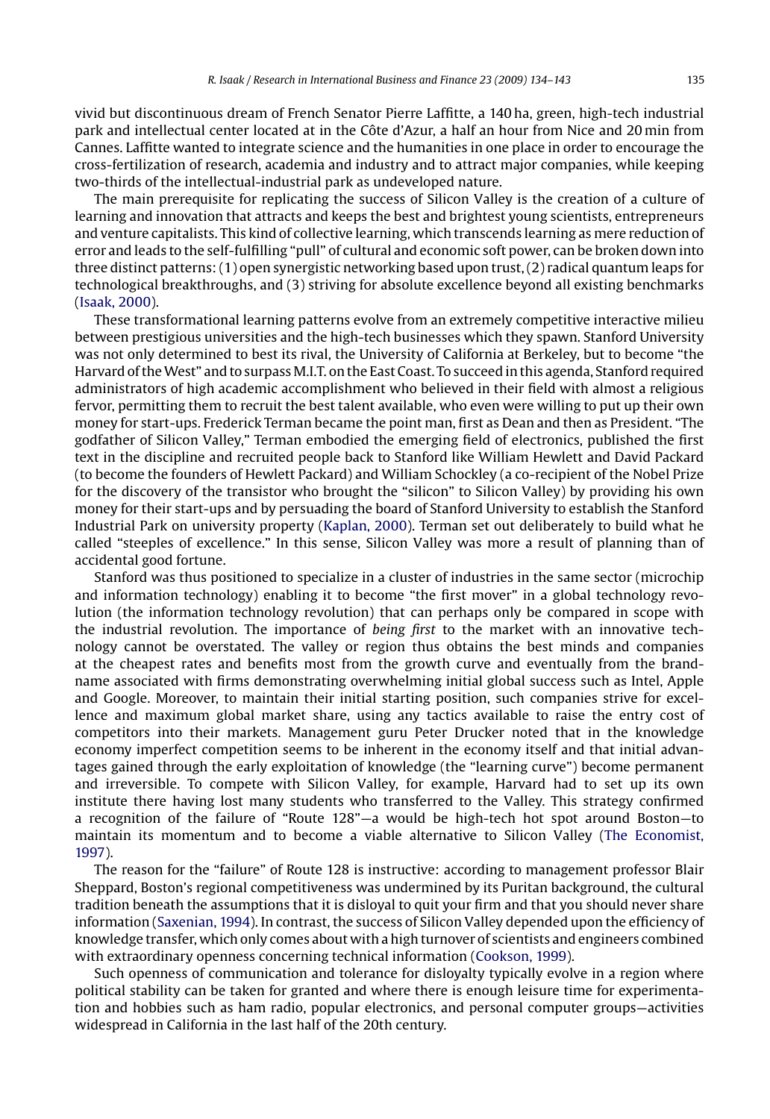vivid but discontinuous dream of French Senator Pierre Laffitte, a 140 ha, green, high-tech industrial park and intellectual center located at in the Cote d'Azur, a half an hour from Nice and 20 min from ˆ Cannes. Laffitte wanted to integrate science and the humanities in one place in order to encourage the cross-fertilization of research, academia and industry and to attract major companies, while keeping two-thirds of the intellectual-industrial park as undeveloped nature.

The main prerequisite for replicating the success of Silicon Valley is the creation of a culture of learning and innovation that attracts and keeps the best and brightest young scientists, entrepreneurs and venture capitalists. This kind of collective learning, which transcends learning as mere reduction of error and leads to the self-fulfilling "pull" of cultural and economic soft power, can be broken down into three distinct patterns: (1) open synergistic networking based upon trust, (2) radical quantum leaps for technological breakthroughs, and (3) striving for absolute excellence beyond all existing benchmarks [\(Isaak, 2000\).](#page--1-0)

These transformational learning patterns evolve from an extremely competitive interactive milieu between prestigious universities and the high-tech businesses which they spawn. Stanford University was not only determined to best its rival, the University of California at Berkeley, but to become "the Harvard of theWest" and to surpassM.I.T. on the East Coast. To succeed in this agenda, Stanford required administrators of high academic accomplishment who believed in their field with almost a religious fervor, permitting them to recruit the best talent available, who even were willing to put up their own money for start-ups. Frederick Terman became the point man, first as Dean and then as President. "The godfather of Silicon Valley," Terman embodied the emerging field of electronics, published the first text in the discipline and recruited people back to Stanford like William Hewlett and David Packard (to become the founders of Hewlett Packard) and William Schockley (a co-recipient of the Nobel Prize for the discovery of the transistor who brought the "silicon" to Silicon Valley) by providing his own money for their start-ups and by persuading the board of Stanford University to establish the Stanford Industrial Park on university property ([Kaplan, 2000\).](#page--1-0) Terman set out deliberately to build what he called "steeples of excellence." In this sense, Silicon Valley was more a result of planning than of accidental good fortune.

Stanford was thus positioned to specialize in a cluster of industries in the same sector (microchip and information technology) enabling it to become "the first mover" in a global technology revolution (the information technology revolution) that can perhaps only be compared in scope with the industrial revolution. The importance of *being first* to the market with an innovative technology cannot be overstated. The valley or region thus obtains the best minds and companies at the cheapest rates and benefits most from the growth curve and eventually from the brandname associated with firms demonstrating overwhelming initial global success such as Intel, Apple and Google. Moreover, to maintain their initial starting position, such companies strive for excellence and maximum global market share, using any tactics available to raise the entry cost of competitors into their markets. Management guru Peter Drucker noted that in the knowledge economy imperfect competition seems to be inherent in the economy itself and that initial advantages gained through the early exploitation of knowledge (the "learning curve") become permanent and irreversible. To compete with Silicon Valley, for example, Harvard had to set up its own institute there having lost many students who transferred to the Valley. This strategy confirmed a recognition of the failure of "Route 128"—a would be high-tech hot spot around Boston—to maintain its momentum and to become a viable alternative to Silicon Valley ([The Economist,](#page--1-0) [1997\).](#page--1-0)

The reason for the "failure" of Route 128 is instructive: according to management professor Blair Sheppard, Boston's regional competitiveness was undermined by its Puritan background, the cultural tradition beneath the assumptions that it is disloyal to quit your firm and that you should never share information ([Saxenian, 1994\).](#page--1-0) In contrast, the success of Silicon Valley depended upon the efficiency of knowledge transfer, which only comes about with a high turnover of scientists and engineers combined with extraordinary openness concerning technical information [\(Cookson, 1999\).](#page--1-0)

Such openness of communication and tolerance for disloyalty typically evolve in a region where political stability can be taken for granted and where there is enough leisure time for experimentation and hobbies such as ham radio, popular electronics, and personal computer groups—activities widespread in California in the last half of the 20th century.